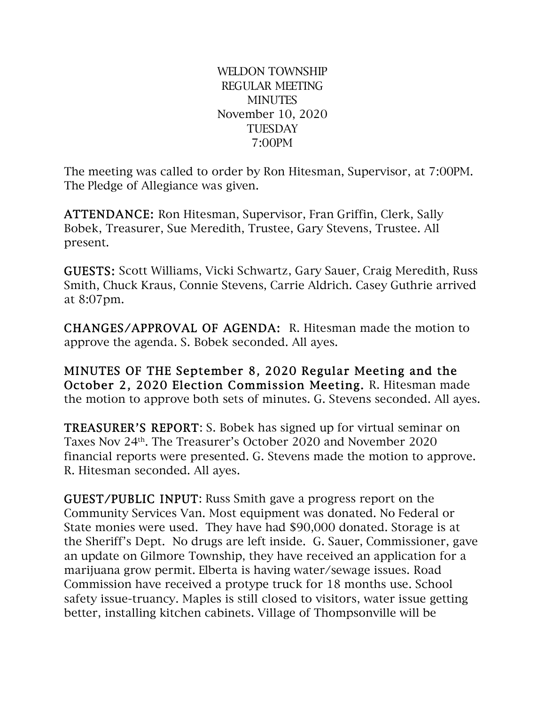WELDON TOWNSHIP REGULAR MEETING **MINUTES** November 10, 2020 **TUESDAY** 7:00PM

The meeting was called to order by Ron Hitesman, Supervisor, at 7:00PM. The Pledge of Allegiance was given.

ATTENDANCE: Ron Hitesman, Supervisor, Fran Griffin, Clerk, Sally Bobek, Treasurer, Sue Meredith, Trustee, Gary Stevens, Trustee. All present.

GUESTS: Scott Williams, Vicki Schwartz, Gary Sauer, Craig Meredith, Russ Smith, Chuck Kraus, Connie Stevens, Carrie Aldrich. Casey Guthrie arrived at 8:07pm.

CHANGES/APPROVAL OF AGENDA: R. Hitesman made the motion to approve the agenda. S. Bobek seconded. All ayes.

MINUTES OF THE September 8, 2020 Regular Meeting and the October 2, 2020 Election Commission Meeting. R. Hitesman made the motion to approve both sets of minutes. G. Stevens seconded. All ayes.

TREASURER'S REPORT: S. Bobek has signed up for virtual seminar on Taxes Nov 24th. The Treasurer's October 2020 and November 2020 financial reports were presented. G. Stevens made the motion to approve. R. Hitesman seconded. All ayes.

GUEST/PUBLIC INPUT: Russ Smith gave a progress report on the Community Services Van. Most equipment was donated. No Federal or State monies were used. They have had \$90,000 donated. Storage is at the Sheriff's Dept. No drugs are left inside. G. Sauer, Commissioner, gave an update on Gilmore Township, they have received an application for a marijuana grow permit. Elberta is having water/sewage issues. Road Commission have received a protype truck for 18 months use. School safety issue-truancy. Maples is still closed to visitors, water issue getting better, installing kitchen cabinets. Village of Thompsonville will be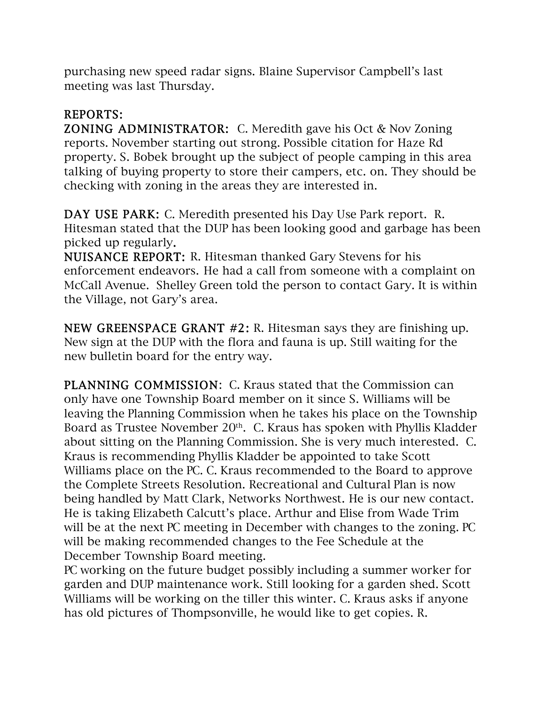purchasing new speed radar signs. Blaine Supervisor Campbell's last meeting was last Thursday.

## REPORTS:

ZONING ADMINISTRATOR: C. Meredith gave his Oct & Nov Zoning reports. November starting out strong. Possible citation for Haze Rd property. S. Bobek brought up the subject of people camping in this area talking of buying property to store their campers, etc. on. They should be checking with zoning in the areas they are interested in.

DAY USE PARK: C. Meredith presented his Day Use Park report. R. Hitesman stated that the DUP has been looking good and garbage has been picked up regularly.

NUISANCE REPORT: R. Hitesman thanked Gary Stevens for his enforcement endeavors. He had a call from someone with a complaint on McCall Avenue. Shelley Green told the person to contact Gary. It is within the Village, not Gary's area.

NEW GREENSPACE GRANT #2: R. Hitesman says they are finishing up. New sign at the DUP with the flora and fauna is up. Still waiting for the new bulletin board for the entry way.

PLANNING COMMISSION: C. Kraus stated that the Commission can only have one Township Board member on it since S. Williams will be leaving the Planning Commission when he takes his place on the Township Board as Trustee November 20<sup>th</sup>. C. Kraus has spoken with Phyllis Kladder about sitting on the Planning Commission. She is very much interested. C. Kraus is recommending Phyllis Kladder be appointed to take Scott Williams place on the PC. C. Kraus recommended to the Board to approve the Complete Streets Resolution. Recreational and Cultural Plan is now being handled by Matt Clark, Networks Northwest. He is our new contact. He is taking Elizabeth Calcutt's place. Arthur and Elise from Wade Trim will be at the next PC meeting in December with changes to the zoning. PC will be making recommended changes to the Fee Schedule at the December Township Board meeting.

PC working on the future budget possibly including a summer worker for garden and DUP maintenance work. Still looking for a garden shed. Scott Williams will be working on the tiller this winter. C. Kraus asks if anyone has old pictures of Thompsonville, he would like to get copies. R.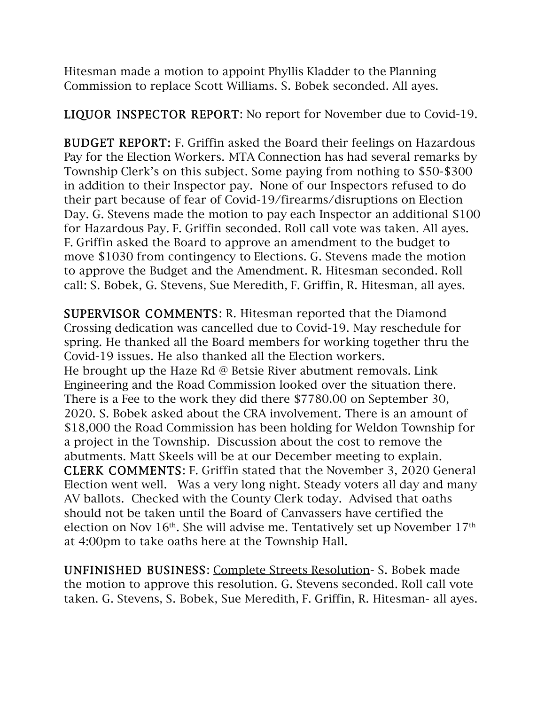Hitesman made a motion to appoint Phyllis Kladder to the Planning Commission to replace Scott Williams. S. Bobek seconded. All ayes.

LIQUOR INSPECTOR REPORT: No report for November due to Covid-19.

BUDGET REPORT: F. Griffin asked the Board their feelings on Hazardous Pay for the Election Workers. MTA Connection has had several remarks by Township Clerk's on this subject. Some paying from nothing to \$50-\$300 in addition to their Inspector pay. None of our Inspectors refused to do their part because of fear of Covid-19/firearms/disruptions on Election Day. G. Stevens made the motion to pay each Inspector an additional \$100 for Hazardous Pay. F. Griffin seconded. Roll call vote was taken. All ayes. F. Griffin asked the Board to approve an amendment to the budget to move \$1030 from contingency to Elections. G. Stevens made the motion to approve the Budget and the Amendment. R. Hitesman seconded. Roll call: S. Bobek, G. Stevens, Sue Meredith, F. Griffin, R. Hitesman, all ayes.

SUPERVISOR COMMENTS: R. Hitesman reported that the Diamond Crossing dedication was cancelled due to Covid-19. May reschedule for spring. He thanked all the Board members for working together thru the Covid-19 issues. He also thanked all the Election workers. He brought up the Haze Rd @ Betsie River abutment removals. Link Engineering and the Road Commission looked over the situation there. There is a Fee to the work they did there \$7780.00 on September 30, 2020. S. Bobek asked about the CRA involvement. There is an amount of \$18,000 the Road Commission has been holding for Weldon Township for a project in the Township. Discussion about the cost to remove the abutments. Matt Skeels will be at our December meeting to explain. CLERK COMMENTS: F. Griffin stated that the November 3, 2020 General Election went well. Was a very long night. Steady voters all day and many AV ballots. Checked with the County Clerk today. Advised that oaths should not be taken until the Board of Canvassers have certified the election on Nov 16<sup>th</sup>. She will advise me. Tentatively set up November 17<sup>th</sup> at 4:00pm to take oaths here at the Township Hall.

UNFINISHED BUSINESS: Complete Streets Resolution- S. Bobek made the motion to approve this resolution. G. Stevens seconded. Roll call vote taken. G. Stevens, S. Bobek, Sue Meredith, F. Griffin, R. Hitesman- all ayes.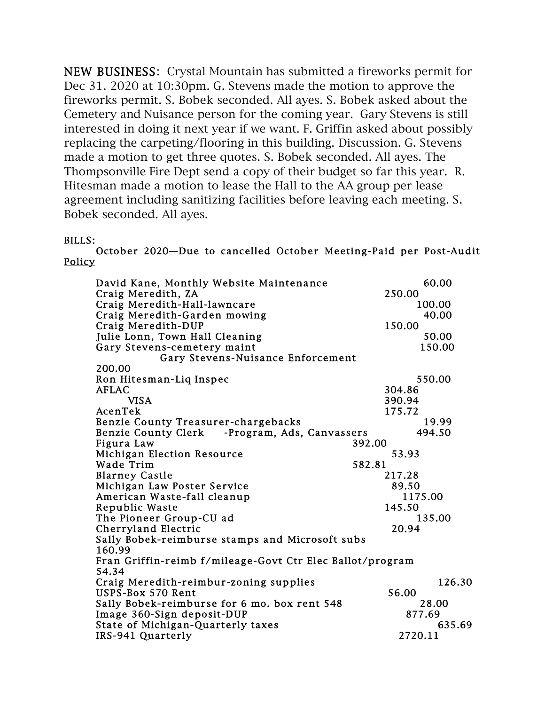NEW BUSINESS: Crystal Mountain has submitted a fireworks permit for Dec 31. 2020 at 10:30pm. G. Stevens made the motion to approve the fireworks permit. S. Bobek seconded. All ayes. S. Bobek asked about the Cemetery and Nuisance person for the coming year. Gary Stevens is still interested in doing it next year if we want. F. Griffin asked about possibly replacing the carpeting/flooring in this building. Discussion. G. Stevens made a motion to get three quotes. S. Bobek seconded. All ayes. The Thompsonville Fire Dept send a copy of their budget so far this year. R. Hitesman made a motion to lease the Hall to the AA group per lease agreement including sanitizing facilities before leaving each meeting. S. Bobek seconded. All ayes.

## BILLS:

October 2020—Due to cancelled October Meeting-Paid per Post-Audit **Policy** 

| David Kane, Monthly Website Maintenance                 | 60.00                                                     |  |  |  |  |
|---------------------------------------------------------|-----------------------------------------------------------|--|--|--|--|
| Craig Meredith, ZA                                      | 250.00                                                    |  |  |  |  |
| Craig Meredith-Hall-lawncare                            | 100.00                                                    |  |  |  |  |
| Craig Meredith-Garden mowing                            | 40.00                                                     |  |  |  |  |
| Craig Meredith-DUP                                      | 150.00                                                    |  |  |  |  |
| Julie Lonn, Town Hall Cleaning                          | 50.00                                                     |  |  |  |  |
| Gary Stevens-cemetery maint                             | 150.00                                                    |  |  |  |  |
| Gary Stevens-Nuisance Enforcement                       |                                                           |  |  |  |  |
| 200.00                                                  |                                                           |  |  |  |  |
| Ron Hitesman-Liq Inspec                                 | 550.00                                                    |  |  |  |  |
| <b>AFLAC</b>                                            | 304.86                                                    |  |  |  |  |
| <b>VISA</b>                                             | 390.94                                                    |  |  |  |  |
| AcenTek                                                 | 175.72                                                    |  |  |  |  |
| Benzie County Treasurer-chargebacks                     | 19.99                                                     |  |  |  |  |
| <b>Benzie County Clerk</b><br>-Program, Ads, Canvassers | 494.50                                                    |  |  |  |  |
| Figura Law                                              | 392.00                                                    |  |  |  |  |
| <b>Michigan Election Resource</b>                       | 53.93                                                     |  |  |  |  |
| Wade Trim                                               | 582.81                                                    |  |  |  |  |
| <b>Blarney Castle</b>                                   | 217.28                                                    |  |  |  |  |
| Michigan Law Poster Service                             | 89.50                                                     |  |  |  |  |
| American Waste-fall cleanup                             | 1175.00                                                   |  |  |  |  |
| Republic Waste                                          | 145.50                                                    |  |  |  |  |
| The Pioneer Group-CU ad                                 | 135.00                                                    |  |  |  |  |
| Cherryland Electric                                     | 20.94                                                     |  |  |  |  |
| Sally Bobek-reimburse stamps and Microsoft subs         |                                                           |  |  |  |  |
| 160.99                                                  |                                                           |  |  |  |  |
|                                                         | Fran Griffin-reimb f/mileage-Govt Ctr Elec Ballot/program |  |  |  |  |
| 54.34                                                   |                                                           |  |  |  |  |
| Craig Meredith-reimbur-zoning supplies                  | 126.30                                                    |  |  |  |  |
| USPS-Box 570 Rent                                       | 56.00                                                     |  |  |  |  |
| Sally Bobek-reimburse for 6 mo. box rent 548            | 28.00                                                     |  |  |  |  |
| Image 360-Sign deposit-DUP                              | 877.69                                                    |  |  |  |  |
| State of Michigan-Quarterly taxes                       | 635.69                                                    |  |  |  |  |
| IRS-941 Quarterly                                       | 2720.11                                                   |  |  |  |  |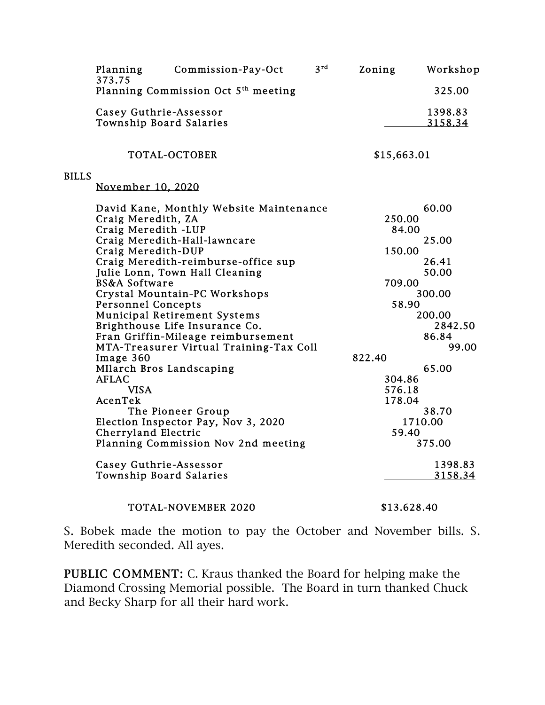|              | Planning<br>373.75                                | Commission-Pay-Oct                              | 3 <sup>rd</sup> | Zoning      | Workshop           |  |
|--------------|---------------------------------------------------|-------------------------------------------------|-----------------|-------------|--------------------|--|
|              |                                                   | Planning Commission Oct 5 <sup>th</sup> meeting |                 |             | 325.00             |  |
|              | Casey Guthrie-Assessor<br>Township Board Salaries |                                                 |                 |             | 1398.83<br>3158.34 |  |
|              |                                                   | TOTAL-OCTOBER                                   |                 | \$15,663.01 |                    |  |
| <b>BILLS</b> |                                                   |                                                 |                 |             |                    |  |
|              | November 10, 2020                                 |                                                 |                 |             |                    |  |
|              |                                                   | David Kane, Monthly Website Maintenance         |                 |             | 60.00              |  |
|              | Craig Meredith, ZA                                |                                                 |                 |             | 250.00             |  |
|              | Craig Meredith -LUP                               |                                                 |                 | 84.00       |                    |  |
|              |                                                   | Craig Meredith-Hall-lawncare                    |                 |             | 25.00              |  |
|              | Craig Meredith-DUP                                |                                                 |                 | 150.00      |                    |  |
|              |                                                   | Craig Meredith-reimburse-office sup             |                 |             | 26.41              |  |
|              |                                                   | Julie Lonn, Town Hall Cleaning                  |                 |             | 50.00              |  |
|              | <b>BS&amp;A Software</b>                          |                                                 |                 |             | 709.00             |  |
|              |                                                   | Crystal Mountain-PC Workshops                   |                 | 300.00      |                    |  |
|              | <b>Personnel Concepts</b>                         |                                                 |                 | 58.90       |                    |  |
|              |                                                   | <b>Municipal Retirement Systems</b>             |                 | 200.00      |                    |  |
|              |                                                   | Brighthouse Life Insurance Co.                  |                 |             | 2842.50            |  |
|              |                                                   | Fran Griffin-Mileage reimbursement              |                 |             | 86.84              |  |
|              |                                                   | MTA-Treasurer Virtual Training-Tax Coll         |                 |             | 99.00              |  |
|              | Image 360                                         |                                                 |                 | 822.40      |                    |  |
|              | MIlarch Bros Landscaping                          |                                                 |                 |             | 65.00              |  |
|              | <b>AFLAC</b>                                      |                                                 |                 | 304.86      |                    |  |
|              | <b>VISA</b>                                       |                                                 |                 |             | 576.18             |  |
|              | AcenTek                                           |                                                 |                 | 178.04      |                    |  |
|              |                                                   | The Pioneer Group                               |                 | 38.70       |                    |  |
|              |                                                   | Election Inspector Pay, Nov 3, 2020             |                 |             | 1710.00            |  |
|              | Cherryland Electric                               |                                                 |                 | 59.40       |                    |  |
|              |                                                   | Planning Commission Nov 2nd meeting             |                 |             | 375.00             |  |
|              | Casey Guthrie-Assessor                            |                                                 |                 |             | 1398.83            |  |
|              | Township Board Salaries                           |                                                 |                 |             | 3158.34            |  |

## TOTAL-NOVEMBER 2020 \$13.628.40

S. Bobek made the motion to pay the October and November bills. S. Meredith seconded. All ayes.

PUBLIC COMMENT: C. Kraus thanked the Board for helping make the Diamond Crossing Memorial possible. The Board in turn thanked Chuck and Becky Sharp for all their hard work.